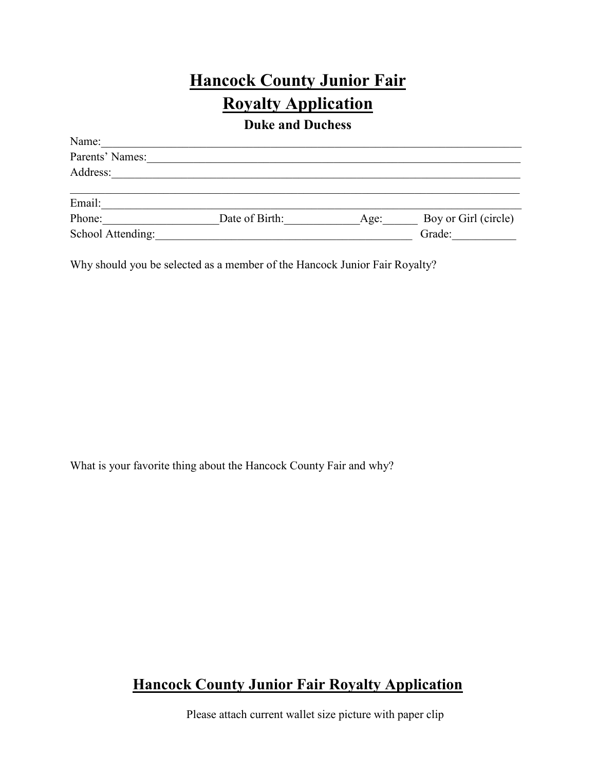# **Hancock County Junior Fair Royalty Application**

**Duke and Duchess**

| Name:             |                |      |                      |
|-------------------|----------------|------|----------------------|
| Parents' Names:   |                |      |                      |
| Address:          |                |      |                      |
|                   |                |      |                      |
| Email:            |                |      |                      |
| Phone:            | Date of Birth: | Age: | Boy or Girl (circle) |
| School Attending: |                |      | Grade:               |

Why should you be selected as a member of the Hancock Junior Fair Royalty?

What is your favorite thing about the Hancock County Fair and why?

## **Hancock County Junior Fair Royalty Application**

Please attach current wallet size picture with paper clip